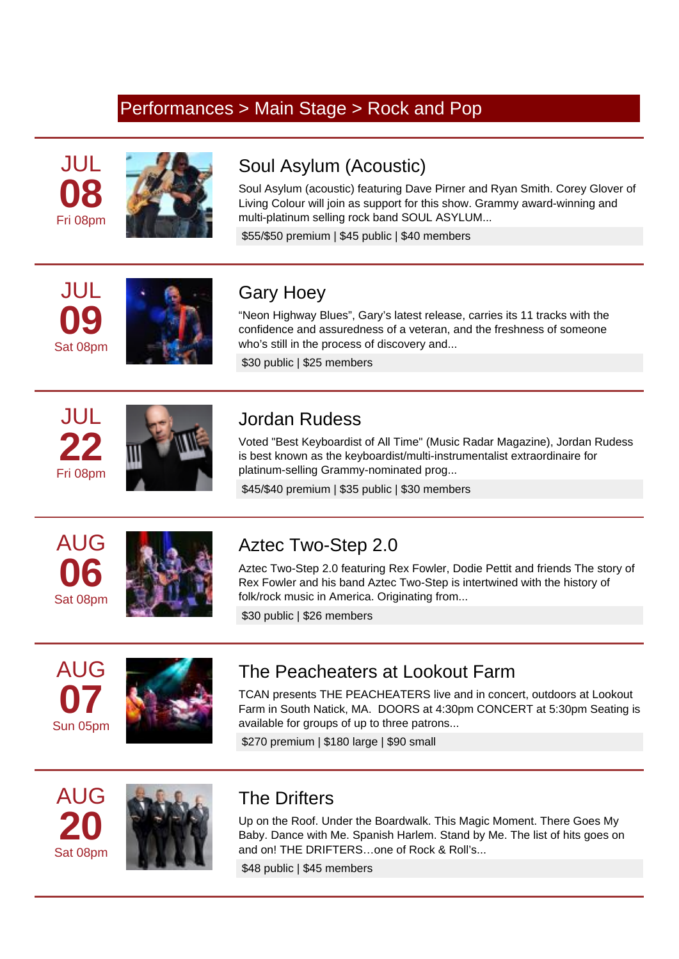#### Performances > Main Stage > Rock and Pop





## Soul Asylum (Acoustic)

Soul Asylum (acoustic) featuring Dave Pirner and Ryan Smith. Corey Glover of Living Colour will join as support for this show. Grammy award-winning and multi-platinum selling rock band SOUL ASYLUM...

\$55/\$50 premium | \$45 public | \$40 members

# JUL **09** Sat 08pm



### Gary Hoey

"Neon Highway Blues", Gary's latest release, carries its 11 tracks with the confidence and assuredness of a veteran, and the freshness of someone who's still in the process of discovery and...

\$30 public | \$25 members

# JUL **22** Fri 08pm



#### Jordan Rudess

Voted "Best Keyboardist of All Time" (Music Radar Magazine), Jordan Rudess is best known as the keyboardist/multi-instrumentalist extraordinaire for platinum-selling Grammy-nominated prog...

\$45/\$40 premium | \$35 public | \$30 members





#### Aztec Two-Step 2.0

Aztec Two-Step 2.0 featuring Rex Fowler, Dodie Pettit and friends The story of Rex Fowler and his band Aztec Two-Step is intertwined with the history of folk/rock music in America. Originating from...

\$30 public | \$26 members





#### The Peacheaters at Lookout Farm

TCAN presents THE PEACHEATERS live and in concert, outdoors at Lookout Farm in South Natick, MA. DOORS at 4:30pm CONCERT at 5:30pm Seating is available for groups of up to three patrons...

\$270 premium | \$180 large | \$90 small





#### The Drifters

Up on the Roof. Under the Boardwalk. This Magic Moment. There Goes My Baby. Dance with Me. Spanish Harlem. Stand by Me. The list of hits goes on and on! THE DRIFTERS…one of Rock & Roll's...

\$48 public | \$45 members